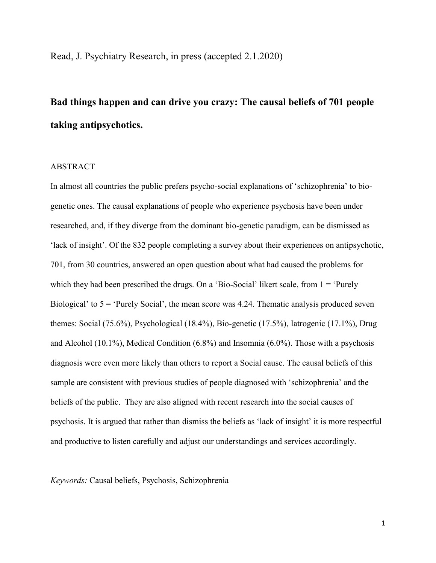Read, J. Psychiatry Research, in press (accepted 2.1.2020)

# **Bad things happen and can drive you crazy: The causal beliefs of 701 people taking antipsychotics.**

# ABSTRACT

In almost all countries the public prefers psycho-social explanations of 'schizophrenia' to biogenetic ones. The causal explanations of people who experience psychosis have been under researched, and, if they diverge from the dominant bio-genetic paradigm, can be dismissed as 'lack of insight'. Of the 832 people completing a survey about their experiences on antipsychotic, 701, from 30 countries, answered an open question about what had caused the problems for which they had been prescribed the drugs. On a 'Bio-Social' likert scale, from  $1 = 'Purely$ Biological' to  $5 =$  'Purely Social', the mean score was 4.24. Thematic analysis produced seven themes: Social (75.6%), Psychological (18.4%), Bio-genetic (17.5%), Iatrogenic (17.1%), Drug and Alcohol (10.1%), Medical Condition (6.8%) and Insomnia (6.0%). Those with a psychosis diagnosis were even more likely than others to report a Social cause. The causal beliefs of this sample are consistent with previous studies of people diagnosed with 'schizophrenia' and the beliefs of the public. They are also aligned with recent research into the social causes of psychosis. It is argued that rather than dismiss the beliefs as 'lack of insight' it is more respectful and productive to listen carefully and adjust our understandings and services accordingly.

*Keywords:* Causal beliefs, Psychosis, Schizophrenia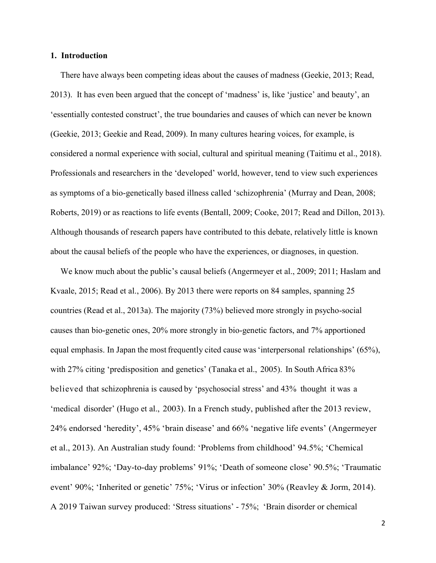#### **1. Introduction**

There have always been competing ideas about the causes of madness (Geekie, 2013; Read, 2013). It has even been argued that the concept of 'madness' is, like 'justice' and beauty', an 'essentially contested construct', the true boundaries and causes of which can never be known (Geekie, 2013; Geekie and Read, 2009). In many cultures hearing voices, for example, is considered a normal experience with social, cultural and spiritual meaning (Taitimu et al., 2018). Professionals and researchers in the 'developed' world, however, tend to view such experiences as symptoms of a bio-genetically based illness called 'schizophrenia' (Murray and Dean, 2008; Roberts, 2019) or as reactions to life events (Bentall, 2009; Cooke, 2017; Read and Dillon, 2013). Although thousands of research papers have contributed to this debate, relatively little is known about the causal beliefs of the people who have the experiences, or diagnoses, in question.

We know much about the public's causal beliefs (Angermeyer et al., 2009; 2011; Haslam and Kvaale, 2015; Read et al., 2006). By 2013 there were reports on 84 samples, spanning 25 countries (Read et al., 2013a). The majority (73%) believed more strongly in psycho-social causes than bio-genetic ones, 20% more strongly in bio-genetic factors, and 7% apportioned equal emphasis. In Japan the most frequently cited cause was 'interpersonal relationships' (65%), with 27% citing 'predisposition and genetics' (Tanaka et al., 2005). In South Africa 83% believed that schizophrenia is caused by 'psychosocial stress' and 43% thought it was a 'medical disorder' (Hugo et al., 2003). In a French study, published after the 2013 review, 24% endorsed 'heredity', 45% 'brain disease' and 66% 'negative life events' (Angermeyer et al., 2013). An Australian study found: 'Problems from childhood' 94.5%; 'Chemical imbalance' 92%; 'Day-to-day problems' 91%; 'Death of someone close' 90.5%; 'Traumatic event' 90%; 'Inherited or genetic' 75%; 'Virus or infection' 30% (Reavley & Jorm, 2014). A 2019 Taiwan survey produced: 'Stress situations' - 75%; 'Brain disorder or chemical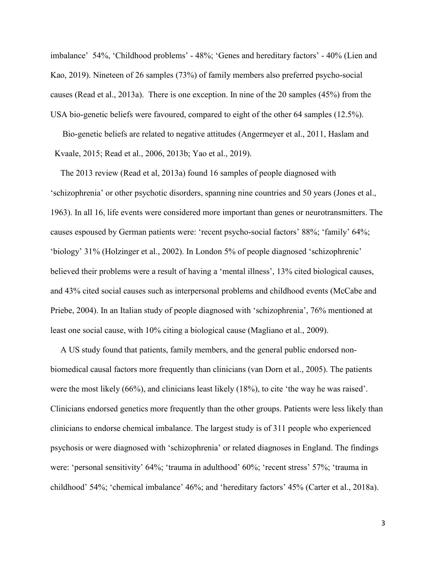imbalance' 54%, 'Childhood problems' - 48%; 'Genes and hereditary factors' - 40% [\(Lien and](https://www.sciencedirect.com/science/article/abs/pii/S0165178118318808?via%3Dihub#!) [Kao, 2](https://www.ncbi.nlm.nih.gov/pubmed/?term=Kao%20YC%5BAuthor%5D&cauthor=true&cauthor_uid=30684789)019). Nineteen of 26 samples (73%) of family members also preferred psycho-social causes (Read et al., 2013a). There is one exception. In nine of the 20 samples (45%) from the USA bio-genetic beliefs were favoured, compared to eight of the other 64 samples (12.5%).

Bio-genetic beliefs are related to negative attitudes (Angermeyer et al., 2011, Haslam and Kvaale, 2015; Read et al., 2006, 2013b; Yao et al., 2019).

The 2013 review (Read et al, 2013a) found 16 samples of people diagnosed with 'schizophrenia' or other psychotic disorders, spanning nine countries and 50 years (Jones et al., 1963). In all 16, life events were considered more important than genes or neurotransmitters. The causes espoused by German patients were: 'recent psycho-social factors' 88%; 'family' 64%; 'biology' 31% (Holzinger et al., 2002). In London 5% of people diagnosed 'schizophrenic' believed their problems were a result of having a 'mental illness', 13% cited biological causes, and 43% cited social causes such as interpersonal problems and childhood events (McCabe and Priebe, 2004). In an Italian study of people diagnosed with 'schizophrenia', 76% mentioned at least one social cause, with 10% citing a biological cause (Magliano et al., 2009).

A US study found that patients, family members, and the general public endorsed nonbiomedical causal factors more frequently than clinicians (van Dorn et al., 2005). The patients were the most likely (66%), and clinicians least likely (18%), to cite 'the way he was raised'. Clinicians endorsed genetics more frequently than the other groups. Patients were less likely than clinicians to endorse chemical imbalance. The largest study is of 311 people who experienced psychosis or were diagnosed with 'schizophrenia' or related diagnoses in England. The findings were: 'personal sensitivity' 64%; 'trauma in adulthood' 60%; 'recent stress' 57%; 'trauma in childhood' 54%; 'chemical imbalance' 46%; and 'hereditary factors' 45% (Carter et al., 2018a).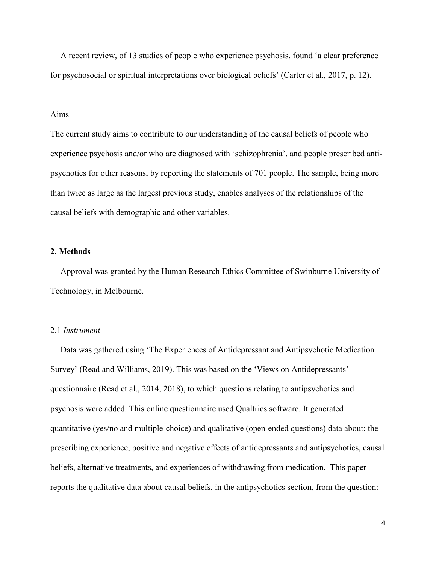A recent review, of 13 studies of people who experience psychosis, found 'a clear preference for psychosocial or spiritual interpretations over biological beliefs' (Carter et al., 2017, p. 12).

## Aims

The current study aims to contribute to our understanding of the causal beliefs of people who experience psychosis and/or who are diagnosed with 'schizophrenia', and people prescribed antipsychotics for other reasons, by reporting the statements of 701 people. The sample, being more than twice as large as the largest previous study, enables analyses of the relationships of the causal beliefs with demographic and other variables.

# **2. Methods**

Approval was granted by the Human Research Ethics Committee of Swinburne University of Technology, in Melbourne.

## 2.1 *Instrument*

Data was gathered using 'The Experiences of Antidepressant and Antipsychotic Medication Survey' (Read and Williams, 2019). This was based on the 'Views on Antidepressants' questionnaire (Read et al., 2014, 2018), to which questions relating to antipsychotics and psychosis were added. This online questionnaire used Qualtrics software. It generated quantitative (yes/no and multiple-choice) and qualitative (open-ended questions) data about: the prescribing experience, positive and negative effects of antidepressants and antipsychotics, causal beliefs, alternative treatments, and experiences of withdrawing from medication. This paper reports the qualitative data about causal beliefs, in the antipsychotics section, from the question: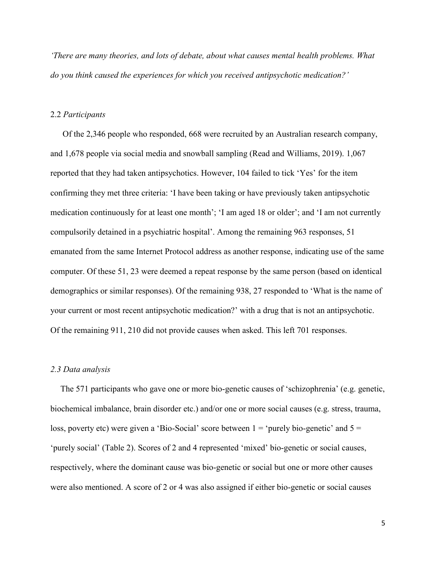*'There are many theories, and lots of debate, about what causes mental health problems. What do you think caused the experiences for which you received antipsychotic medication?'*

#### 2.2 *Participants*

Of the 2,346 people who responded, 668 were recruited by an Australian research company, and 1,678 people via social media and snowball sampling (Read and Williams, 2019). 1,067 reported that they had taken antipsychotics. However, 104 failed to tick 'Yes' for the item confirming they met three criteria: 'I have been taking or have previously taken antipsychotic medication continuously for at least one month'; 'I am aged 18 or older'; and 'I am not currently compulsorily detained in a psychiatric hospital'. Among the remaining 963 responses, 51 emanated from the same Internet Protocol address as another response, indicating use of the same computer. Of these 51, 23 were deemed a repeat response by the same person (based on identical demographics or similar responses). Of the remaining 938, 27 responded to 'What is the name of your current or most recent antipsychotic medication?' with a drug that is not an antipsychotic. Of the remaining 911, 210 did not provide causes when asked. This left 701 responses.

#### *2.3 Data analysis*

The 571 participants who gave one or more bio-genetic causes of 'schizophrenia' (e.g. genetic, biochemical imbalance, brain disorder etc.) and/or one or more social causes (e.g. stress, trauma, loss, poverty etc) were given a 'Bio-Social' score between  $1 =$  'purely bio-genetic' and  $5 =$ 'purely social' (Table 2). Scores of 2 and 4 represented 'mixed' bio-genetic or social causes, respectively, where the dominant cause was bio-genetic or social but one or more other causes were also mentioned. A score of 2 or 4 was also assigned if either bio-genetic or social causes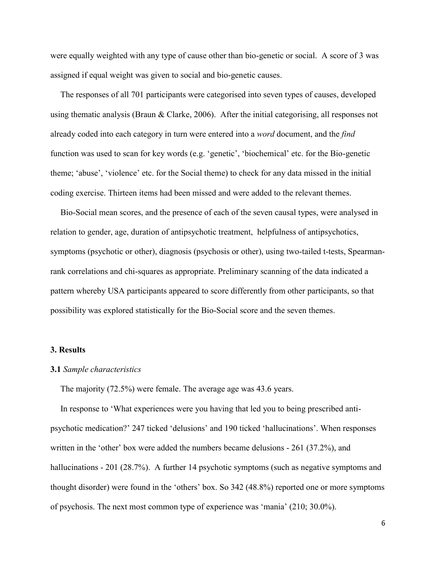were equally weighted with any type of cause other than bio-genetic or social. A score of 3 was assigned if equal weight was given to social and bio-genetic causes.

The responses of all 701 participants were categorised into seven types of causes, developed using thematic analysis (Braun & Clarke, 2006). After the initial categorising, all responses not already coded into each category in turn were entered into a *word* document, and the *find* function was used to scan for key words (e.g. 'genetic', 'biochemical' etc. for the Bio-genetic theme; 'abuse', 'violence' etc. for the Social theme) to check for any data missed in the initial coding exercise. Thirteen items had been missed and were added to the relevant themes.

Bio-Social mean scores, and the presence of each of the seven causal types, were analysed in relation to gender, age, duration of antipsychotic treatment, helpfulness of antipsychotics, symptoms (psychotic or other), diagnosis (psychosis or other), using two-tailed t-tests, Spearmanrank correlations and chi-squares as appropriate. Preliminary scanning of the data indicated a pattern whereby USA participants appeared to score differently from other participants, so that possibility was explored statistically for the Bio-Social score and the seven themes.

## **3. Results**

#### **3.1** *Sample characteristics*

The majority (72.5%) were female. The average age was 43.6 years.

In response to 'What experiences were you having that led you to being prescribed antipsychotic medication?' 247 ticked 'delusions' and 190 ticked 'hallucinations'. When responses written in the 'other' box were added the numbers became delusions - 261 (37.2%), and hallucinations - 201 (28.7%). A further 14 psychotic symptoms (such as negative symptoms and thought disorder) were found in the 'others' box. So 342 (48.8%) reported one or more symptoms of psychosis. The next most common type of experience was 'mania' (210; 30.0%).

6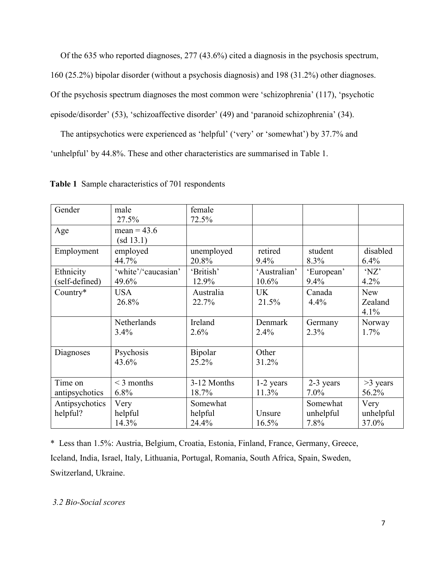Of the 635 who reported diagnoses, 277 (43.6%) cited a diagnosis in the psychosis spectrum, 160 (25.2%) bipolar disorder (without a psychosis diagnosis) and 198 (31.2%) other diagnoses. Of the psychosis spectrum diagnoses the most common were 'schizophrenia' (117), 'psychotic episode/disorder' (53), 'schizoaffective disorder' (49) and 'paranoid schizophrenia' (34).

The antipsychotics were experienced as 'helpful' ('very' or 'somewhat') by 37.7% and 'unhelpful' by 44.8%. These and other characteristics are summarised in Table 1.

| Gender                      | male<br>27.5%                | female<br>72.5%              |                       |                               |                               |
|-----------------------------|------------------------------|------------------------------|-----------------------|-------------------------------|-------------------------------|
| Age                         | mean = $43.6$<br>(sd 13.1)   |                              |                       |                               |                               |
| Employment                  | employed<br>44.7%            | unemployed<br>20.8%          | retired<br>9.4%       | student<br>8.3%               | disabled<br>6.4%              |
| Ethnicity<br>(self-defined) | 'white'/'caucasian'<br>49.6% | 'British'<br>12.9%           | 'Australian'<br>10.6% | 'European'<br>9.4%            | 'NZ'<br>4.2%                  |
| Country*                    | <b>USA</b><br>26.8%          | Australia<br>22.7%           | <b>UK</b><br>21.5%    | Canada<br>4.4%                | <b>New</b><br>Zealand<br>4.1% |
|                             | Netherlands<br>3.4%          | Ireland<br>2.6%              | Denmark<br>2.4%       | Germany<br>2.3%               | Norway<br>1.7%                |
| Diagnoses                   | Psychosis<br>43.6%           | Bipolar<br>25.2%             | Other<br>31.2%        |                               |                               |
| Time on<br>antipsychotics   | $\leq$ 3 months<br>$6.8\%$   | 3-12 Months<br>18.7%         | $1-2$ years<br>11.3%  | 2-3 years<br>$7.0\%$          | $>3$ years<br>56.2%           |
| Antipsychotics<br>helpful?  | Very<br>helpful<br>14.3%     | Somewhat<br>helpful<br>24.4% | Unsure<br>16.5%       | Somewhat<br>unhelpful<br>7.8% | Very<br>unhelpful<br>37.0%    |

**Table 1** Sample characteristics of 701 respondents

\* Less than 1.5%: Austria, Belgium, Croatia, Estonia, Finland, France, Germany, Greece, Iceland, India, Israel, Italy, Lithuania, Portugal, Romania, South Africa, Spain, Sweden, Switzerland, Ukraine.

# *3.2 Bio-Social scores*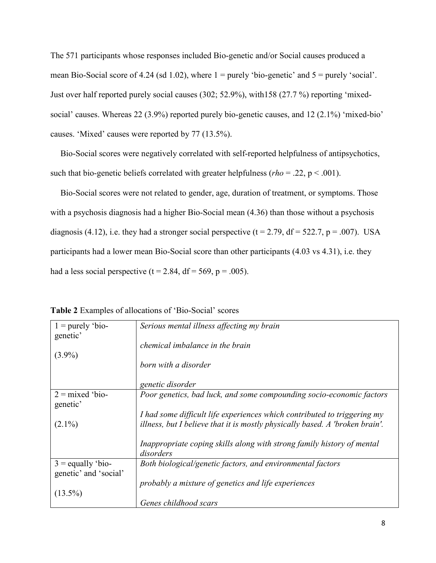The 571 participants whose responses included Bio-genetic and/or Social causes produced a mean Bio-Social score of 4.24 (sd 1.02), where  $1 =$  purely 'bio-genetic' and  $5 =$  purely 'social'. Just over half reported purely social causes (302; 52.9%), with158 (27.7 %) reporting 'mixedsocial' causes. Whereas 22 (3.9%) reported purely bio-genetic causes, and 12 (2.1%) 'mixed-bio' causes. 'Mixed' causes were reported by 77 (13.5%).

Bio-Social scores were negatively correlated with self-reported helpfulness of antipsychotics, such that bio-genetic beliefs correlated with greater helpfulness (*rho* = .22, p < .001).

Bio-Social scores were not related to gender, age, duration of treatment, or symptoms. Those with a psychosis diagnosis had a higher Bio-Social mean (4.36) than those without a psychosis diagnosis (4.12), i.e. they had a stronger social perspective ( $t = 2.79$ ,  $df = 522.7$ ,  $p = .007$ ). USA participants had a lower mean Bio-Social score than other participants (4.03 vs 4.31), i.e. they had a less social perspective ( $t = 2.84$ ,  $df = 569$ ,  $p = .005$ ).

| $1 =$ purely 'bio-<br>genetic' | Serious mental illness affecting my brain                                           |
|--------------------------------|-------------------------------------------------------------------------------------|
|                                | chemical imbalance in the brain                                                     |
| $(3.9\%)$                      |                                                                                     |
|                                | born with a disorder                                                                |
|                                | genetic disorder                                                                    |
| $2 =$ mixed 'bio-<br>genetic'  | Poor genetics, bad luck, and some compounding socio-economic factors                |
|                                | I had some difficult life experiences which contributed to triggering my            |
| $(2.1\%)$                      | illness, but I believe that it is mostly physically based. A 'broken brain'.        |
|                                | Inappropriate coping skills along with strong family history of mental<br>disorders |
| $3 =$ equally 'bio-            | Both biological/genetic factors, and environmental factors                          |
| genetic' and 'social'          |                                                                                     |
|                                | probably a mixture of genetics and life experiences                                 |
| $(13.5\%)$                     |                                                                                     |
|                                | Genes childhood scars                                                               |

**Table 2** Examples of allocations of 'Bio-Social' scores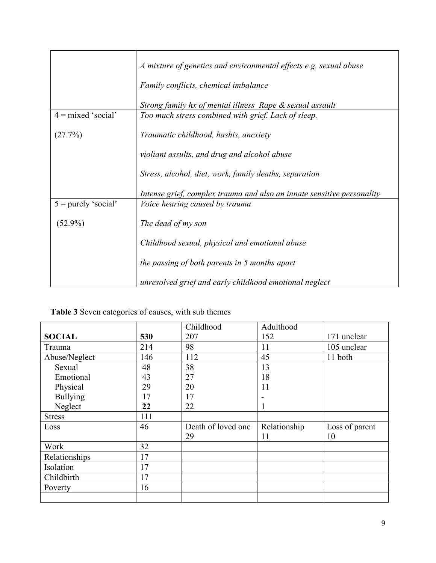|                       | A mixture of genetics and environmental effects e.g. sexual abuse      |  |  |
|-----------------------|------------------------------------------------------------------------|--|--|
|                       | Family conflicts, chemical imbalance                                   |  |  |
|                       | Strong family hx of mental illness Rape & sexual assault               |  |  |
| $4 = mixed 'social'$  | Too much stress combined with grief. Lack of sleep.                    |  |  |
| (27.7%)               | Traumatic childhood, hashis, ancxiety                                  |  |  |
|                       | violiant assults, and drug and alcohol abuse                           |  |  |
|                       | Stress, alcohol, diet, work, family deaths, separation                 |  |  |
|                       | Intense grief, complex trauma and also an innate sensitive personality |  |  |
| $5 =$ purely 'social' | <i>Voice hearing caused by trauma</i>                                  |  |  |
| $(52.9\%)$            | The dead of my son                                                     |  |  |
|                       | Childhood sexual, physical and emotional abuse                         |  |  |
|                       | the passing of both parents in 5 months apart                          |  |  |
|                       | unresolved grief and early childhood emotional neglect                 |  |  |

| Table 3 Seven categories of causes, with sub themes |  |  |  |  |
|-----------------------------------------------------|--|--|--|--|
|-----------------------------------------------------|--|--|--|--|

|                 |     | Childhood          | Adulthood    |                |
|-----------------|-----|--------------------|--------------|----------------|
| <b>SOCIAL</b>   | 530 | 207                | 152          | 171 unclear    |
| Trauma          | 214 | 98                 | 11           | 105 unclear    |
| Abuse/Neglect   | 146 | 112                | 45           | 11 both        |
| Sexual          | 48  | 38                 | 13           |                |
| Emotional       | 43  | 27                 | 18           |                |
| Physical        | 29  | 20                 | 11           |                |
| <b>Bullying</b> | 17  | 17                 |              |                |
| Neglect         | 22  | 22                 |              |                |
| <b>Stress</b>   | 111 |                    |              |                |
| Loss            | 46  | Death of loved one | Relationship | Loss of parent |
|                 |     | 29                 | 11           | 10             |
| Work            | 32  |                    |              |                |
| Relationships   | 17  |                    |              |                |
| Isolation       | 17  |                    |              |                |
| Childbirth      | 17  |                    |              |                |
| Poverty         | 16  |                    |              |                |
|                 |     |                    |              |                |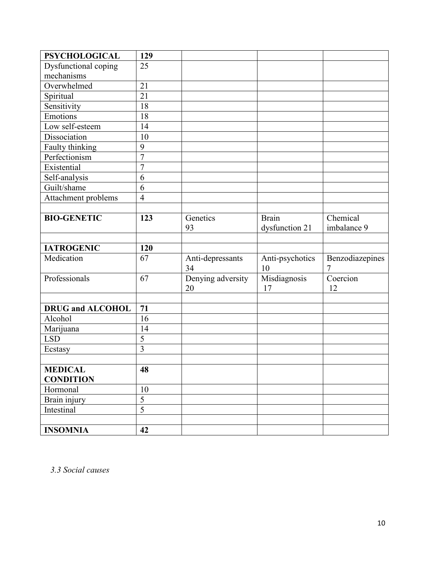| <b>PSYCHOLOGICAL</b>           | 129            |                   |                 |                 |
|--------------------------------|----------------|-------------------|-----------------|-----------------|
| Dysfunctional coping           | 25             |                   |                 |                 |
| mechanisms                     |                |                   |                 |                 |
| Overwhelmed                    | 21             |                   |                 |                 |
| Spiritual                      | 21             |                   |                 |                 |
| Sensitivity                    | 18             |                   |                 |                 |
| Emotions                       | 18             |                   |                 |                 |
| Low self-esteem                | 14             |                   |                 |                 |
| Dissociation                   | 10             |                   |                 |                 |
| Faulty thinking                | 9              |                   |                 |                 |
| Perfectionism                  | $\overline{7}$ |                   |                 |                 |
| Existential                    | $\overline{7}$ |                   |                 |                 |
| Self-analysis                  | 6              |                   |                 |                 |
| Guilt/shame                    | 6              |                   |                 |                 |
| Attachment problems            | $\overline{4}$ |                   |                 |                 |
|                                |                |                   |                 |                 |
| <b>BIO-GENETIC</b>             | 123            | Genetics          | <b>Brain</b>    | Chemical        |
|                                |                | 93                | dysfunction 21  | imbalance 9     |
|                                |                |                   |                 |                 |
| <b>IATROGENIC</b>              | 120            |                   |                 |                 |
| Medication                     | 67             | Anti-depressants  | Anti-psychotics | Benzodiazepines |
|                                |                | 34                | 10              | 7               |
| Professionals                  | 67             | Denying adversity | Misdiagnosis    | Coercion        |
|                                |                | 20                | 17              | 12              |
|                                |                |                   |                 |                 |
| <b>DRUG</b> and <b>ALCOHOL</b> | 71             |                   |                 |                 |
| Alcohol                        | 16             |                   |                 |                 |
| Marijuana                      | 14             |                   |                 |                 |
| <b>LSD</b>                     | 5              |                   |                 |                 |
| Ecstasy                        | $\overline{3}$ |                   |                 |                 |
|                                |                |                   |                 |                 |
| <b>MEDICAL</b>                 | 48             |                   |                 |                 |
| <b>CONDITION</b>               |                |                   |                 |                 |
| Hormonal                       | 10             |                   |                 |                 |
| Brain injury                   | $\overline{5}$ |                   |                 |                 |
| Intestinal                     | $\overline{5}$ |                   |                 |                 |
|                                |                |                   |                 |                 |
| <b>INSOMNIA</b>                | 42             |                   |                 |                 |

*3.3 Social causes*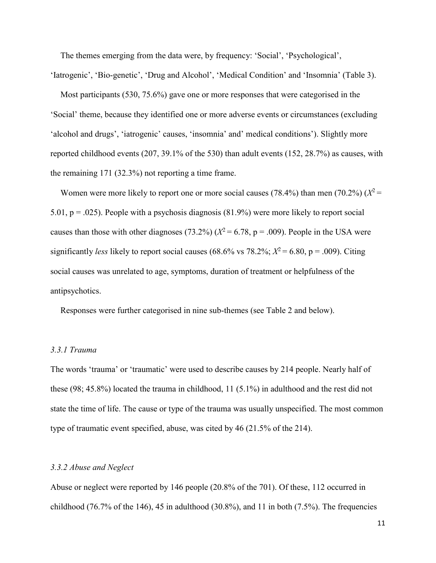The themes emerging from the data were, by frequency: 'Social', 'Psychological',

'Iatrogenic', 'Bio-genetic', 'Drug and Alcohol', 'Medical Condition' and 'Insomnia' (Table 3). Most participants (530, 75.6%) gave one or more responses that were categorised in the 'Social' theme, because they identified one or more adverse events or circumstances (excluding 'alcohol and drugs', 'iatrogenic' causes, 'insomnia' and' medical conditions'). Slightly more reported childhood events (207, 39.1% of the 530) than adult events (152, 28.7%) as causes, with

the remaining 171 (32.3%) not reporting a time frame.

Women were more likely to report one or more social causes (78.4%) than men (70.2%)  $(X^2 =$ 5.01, p = .025). People with a psychosis diagnosis (81.9%) were more likely to report social causes than those with other diagnoses (73.2%)  $(X^2 = 6.78, p = .009)$ . People in the USA were significantly *less* likely to report social causes (68.6% vs 78.2%;  $X^2 = 6.80$ , p = .009). Citing social causes was unrelated to age, symptoms, duration of treatment or helpfulness of the antipsychotics.

Responses were further categorised in nine sub-themes (see Table 2 and below).

## *3.3.1 Trauma*

The words 'trauma' or 'traumatic' were used to describe causes by 214 people. Nearly half of these (98; 45.8%) located the trauma in childhood, 11 (5.1%) in adulthood and the rest did not state the time of life. The cause or type of the trauma was usually unspecified. The most common type of traumatic event specified, abuse, was cited by 46 (21.5% of the 214).

## *3.3.2 Abuse and Neglect*

Abuse or neglect were reported by 146 people (20.8% of the 701). Of these, 112 occurred in childhood (76.7% of the 146), 45 in adulthood (30.8%), and 11 in both (7.5%). The frequencies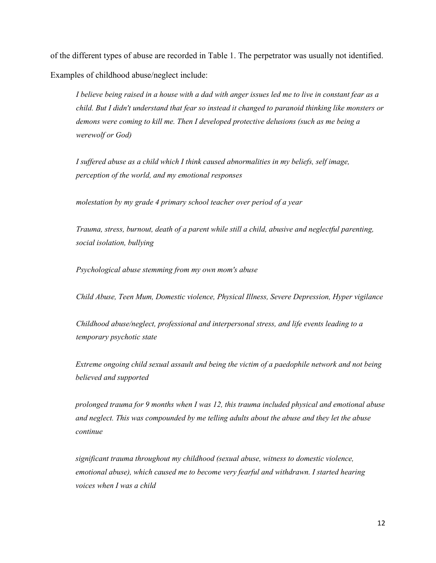of the different types of abuse are recorded in Table 1. The perpetrator was usually not identified. Examples of childhood abuse/neglect include:

*I believe being raised in a house with a dad with anger issues led me to live in constant fear as a child. But I didn't understand that fear so instead it changed to paranoid thinking like monsters or demons were coming to kill me. Then I developed protective delusions (such as me being a werewolf or God)* 

*I suffered abuse as a child which I think caused abnormalities in my beliefs, self image, perception of the world, and my emotional responses*

*molestation by my grade 4 primary school teacher over period of a year*

*Trauma, stress, burnout, death of a parent while still a child, abusive and neglectful parenting, social isolation, bullying*

*Psychological abuse stemming from my own mom's abuse*

*Child Abuse, Teen Mum, Domestic violence, Physical Illness, Severe Depression, Hyper vigilance*

*Childhood abuse/neglect, professional and interpersonal stress, and life events leading to a temporary psychotic state*

*Extreme ongoing child sexual assault and being the victim of a paedophile network and not being believed and supported*

*prolonged trauma for 9 months when I was 12, this trauma included physical and emotional abuse and neglect. This was compounded by me telling adults about the abuse and they let the abuse continue*

*significant trauma throughout my childhood (sexual abuse, witness to domestic violence, emotional abuse), which caused me to become very fearful and withdrawn. I started hearing voices when I was a child*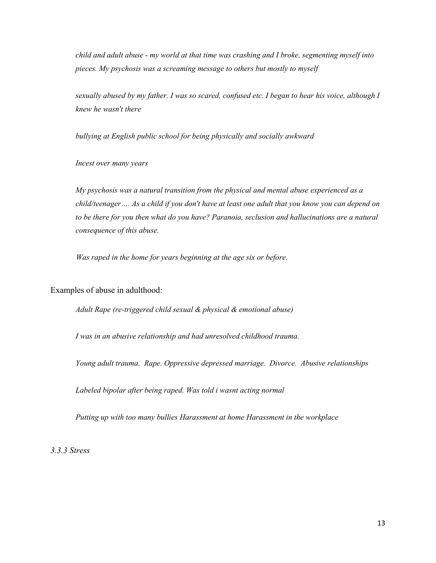*child and adult abuse - my world at that time was crashing and I broke, segmenting myself into pieces. My psychosis was a screaming message to others but mostly to myself*

*sexually abused by my father. I was so scared, confused etc. I began to hear his voice, although I knew he wasn't there*

*bullying at English public school for being physically and socially awkward*

*Incest over many years*

*My psychosis was a natural transition from the physical and mental abuse experienced as a child/teenager…. As a child if you don't have at least one adult that you know you can depend on to be there for you then what do you have? Paranoia, seclusion and hallucinations are a natural consequence of this abuse.* 

*Was raped in the home for years beginning at the age six or before.*

Examples of abuse in adulthood:

*Adult Rape (re-triggered child sexual & physical & emotional abuse)*

*I was in an abusive relationship and had unresolved childhood trauma.*

*Young adult trauma. Rape. Oppressive depressed marriage. Divorce. Abusive relationships*

*Labeled bipolar after being raped. Was told i wasnt acting normal*

*Putting up with too many bullies Harassment at home Harassment in the workplace* 

*3.3.3 Stress*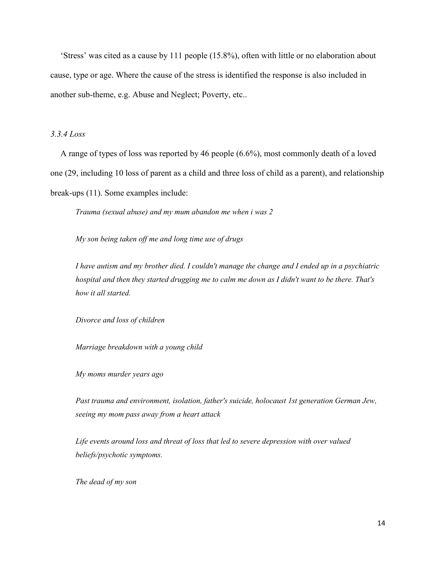'Stress' was cited as a cause by 111 people (15.8%), often with little or no elaboration about cause, type or age. Where the cause of the stress is identified the response is also included in another sub-theme, e.g. Abuse and Neglect; Poverty, etc..

# *3.3.4 Loss*

A range of types of loss was reported by 46 people (6.6%), most commonly death of a loved one (29, including 10 loss of parent as a child and three loss of child as a parent), and relationship break-ups (11). Some examples include:

*Trauma (sexual abuse) and my mum abandon me when i was 2*

*My son being taken off me and long time use of drugs*

*I have autism and my brother died. I couldn't manage the change and I ended up in a psychiatric hospital and then they started drugging me to calm me down as I didn't want to be there. That's how it all started.*

*Divorce and loss of children*

*Marriage breakdown with a young child* 

*My moms murder years ago* 

*Past trauma and environment, isolation, father's suicide, holocaust 1st generation German Jew, seeing my mom pass away from a heart attack*

*Life events around loss and threat of loss that led to severe depression with over valued beliefs/psychotic symptoms.*

*The dead of my son*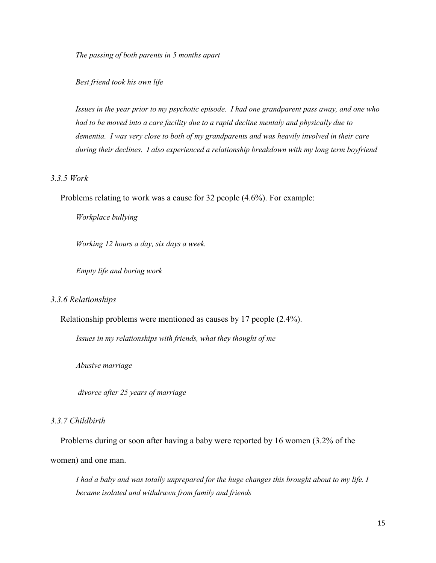*The passing of both parents in 5 months apart*

*Best friend took his own life* 

*Issues in the year prior to my psychotic episode. I had one grandparent pass away, and one who had to be moved into a care facility due to a rapid decline mentaly and physically due to dementia. I was very close to both of my grandparents and was heavily involved in their care during their declines. I also experienced a relationship breakdown with my long term boyfriend* 

# *3.3.5 Work*

Problems relating to work was a cause for 32 people (4.6%). For example:

*Workplace bullying*

*Working 12 hours a day, six days a week.* 

*Empty life and boring work*

#### *3.3.6 Relationships*

Relationship problems were mentioned as causes by 17 people (2.4%).

*Issues in my relationships with friends, what they thought of me*

*Abusive marriage*

*divorce after 25 years of marriage*

#### *3.3.7 Childbirth*

Problems during or soon after having a baby were reported by 16 women (3.2% of the women) and one man.

*I had a baby and was totally unprepared for the huge changes this brought about to my life. I became isolated and withdrawn from family and friends*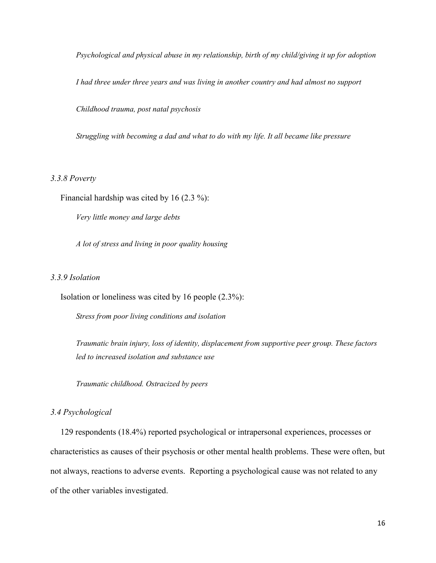*Psychological and physical abuse in my relationship, birth of my child/giving it up for adoption*

*I had three under three years and was living in another country and had almost no support* 

*Childhood trauma, post natal psychosis*

*Struggling with becoming a dad and what to do with my life. It all became like pressure*

#### *3.3.8 Poverty*

Financial hardship was cited by 16 (2.3 %):

*Very little money and large debts*

*A lot of stress and living in poor quality housing*

# *3.3.9 Isolation*

Isolation or loneliness was cited by 16 people (2.3%):

*Stress from poor living conditions and isolation*

*Traumatic brain injury, loss of identity, displacement from supportive peer group. These factors led to increased isolation and substance use*

*Traumatic childhood. Ostracized by peers*

#### *3.4 Psychological*

129 respondents (18.4%) reported psychological or intrapersonal experiences, processes or characteristics as causes of their psychosis or other mental health problems. These were often, but not always, reactions to adverse events. Reporting a psychological cause was not related to any of the other variables investigated.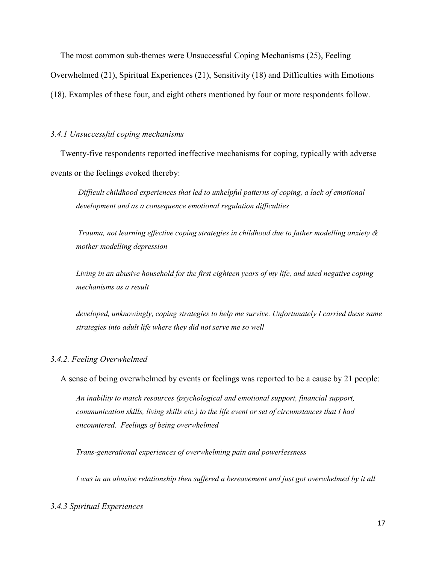The most common sub-themes were Unsuccessful Coping Mechanisms (25), Feeling

Overwhelmed (21), Spiritual Experiences (21), Sensitivity (18) and Difficulties with Emotions

(18). Examples of these four, and eight others mentioned by four or more respondents follow.

## *3.4.1 Unsuccessful coping mechanisms*

Twenty-five respondents reported ineffective mechanisms for coping, typically with adverse events or the feelings evoked thereby:

*Difficult childhood experiences that led to unhelpful patterns of coping, a lack of emotional development and as a consequence emotional regulation difficulties*

*Trauma, not learning effective coping strategies in childhood due to father modelling anxiety & mother modelling depression*

*Living in an abusive household for the first eighteen years of my life, and used negative coping mechanisms as a result* 

*developed, unknowingly, coping strategies to help me survive. Unfortunately I carried these same strategies into adult life where they did not serve me so well*

# *3.4.2. Feeling Overwhelmed*

A sense of being overwhelmed by events or feelings was reported to be a cause by 21 people:

*An inability to match resources (psychological and emotional support, financial support, communication skills, living skills etc.) to the life event or set of circumstances that I had encountered. Feelings of being overwhelmed*

*Trans-generational experiences of overwhelming pain and powerlessness*

*I was in an abusive relationship then suffered a bereavement and just got overwhelmed by it all*

## *3.4.3 Spiritual Experiences*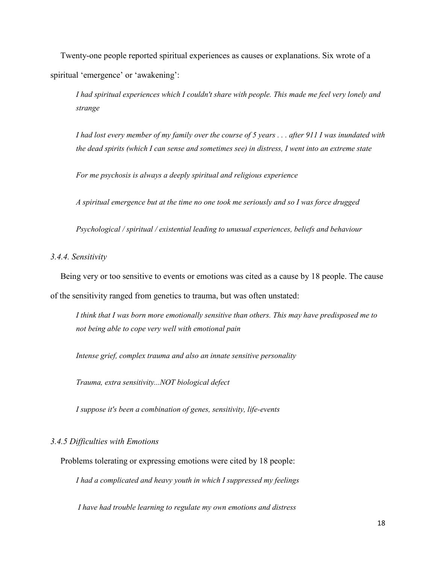Twenty-one people reported spiritual experiences as causes or explanations. Six wrote of a spiritual 'emergence' or 'awakening':

*I had spiritual experiences which I couldn't share with people. This made me feel very lonely and strange*

*I had lost every member of my family over the course of 5 years . . . after 911 I was inundated with the dead spirits (which I can sense and sometimes see) in distress, I went into an extreme state* 

*For me psychosis is always a deeply spiritual and religious experience*

*A spiritual emergence but at the time no one took me seriously and so I was force drugged*

*Psychological / spiritual / existential leading to unusual experiences, beliefs and behaviour*

*3.4.4. Sensitivity*

Being very or too sensitive to events or emotions was cited as a cause by 18 people. The cause of the sensitivity ranged from genetics to trauma, but was often unstated:

*I think that I was born more emotionally sensitive than others. This may have predisposed me to not being able to cope very well with emotional pain*

*Intense grief, complex trauma and also an innate sensitive personality*

*Trauma, extra sensitivity...NOT biological defect*

*I suppose it's been a combination of genes, sensitivity, life-events*

# *3.4.5 Difficulties with Emotions*

Problems tolerating or expressing emotions were cited by 18 people:

*I had a complicated and heavy youth in which I suppressed my feelings* 

*I have had trouble learning to regulate my own emotions and distress*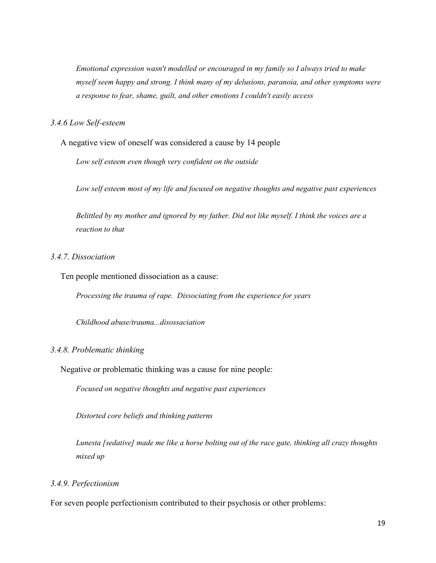*Emotional expression wasn't modelled or encouraged in my family so I always tried to make myself seem happy and strong. I think many of my delusions, paranoia, and other symptoms were a response to fear, shame, guilt, and other emotions I couldn't easily access* 

## *3.4.6 Low Self-esteem*

A negative view of oneself was considered a cause by 14 people

*Low self esteem even though very confident on the outside*

*Low self esteem most of my life and focused on negative thoughts and negative past experiences*

*Belittled by my mother and ignored by my father. Did not like myself. I think the voices are a reaction to that*

# *3.4.7. Dissociation*

Ten people mentioned dissociation as a cause:

*Processing the trauma of rape. Dissociating from the experience for years*

*Childhood abuse/trauma...disossaciation*

## *3.4.8. Problematic thinking*

Negative or problematic thinking was a cause for nine people:

*Focused on negative thoughts and negative past experiences* 

*Distorted core beliefs and thinking patterns*

*Lunesta [sedative] made me like a horse bolting out of the race gate, thinking all crazy thoughts mixed up*

## *3.4.9. Perfectionism*

For seven people perfectionism contributed to their psychosis or other problems: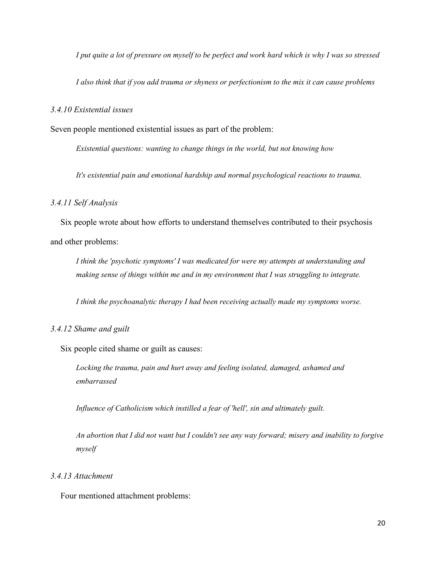*I put quite a lot of pressure on myself to be perfect and work hard which is why I was so stressed*

*I also think that if you add trauma or shyness or perfectionism to the mix it can cause problems*

#### *3.4.10 Existential issues*

Seven people mentioned existential issues as part of the problem:

*Existential questions: wanting to change things in the world, but not knowing how*

*It's existential pain and emotional hardship and normal psychological reactions to trauma.*

## *3.4.11 Self Analysis*

Six people wrote about how efforts to understand themselves contributed to their psychosis and other problems:

*I think the 'psychotic symptoms' I was medicated for were my attempts at understanding and making sense of things within me and in my environment that I was struggling to integrate.*

*I think the psychoanalytic therapy I had been receiving actually made my symptoms worse.*

## *3.4.12 Shame and guilt*

Six people cited shame or guilt as causes:

*Locking the trauma, pain and hurt away and feeling isolated, damaged, ashamed and embarrassed*

*Influence of Catholicism which instilled a fear of 'hell', sin and ultimately guilt.*

*An abortion that I did not want but I couldn't see any way forward; misery and inability to forgive myself*

# *3.4.13 Attachment*

Four mentioned attachment problems: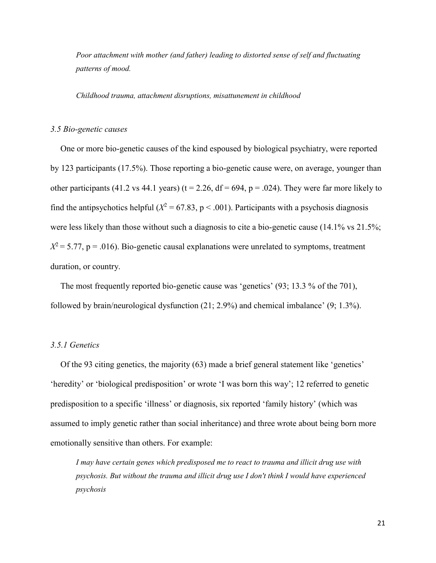*Poor attachment with mother (and father) leading to distorted sense of self and fluctuating patterns of mood.*

*Childhood trauma, attachment disruptions, misattunement in childhood*

#### *3.5 Bio-genetic causes*

One or more bio-genetic causes of the kind espoused by biological psychiatry, were reported by 123 participants (17.5%). Those reporting a bio-genetic cause were, on average, younger than other participants (41.2 vs 44.1 years) ( $t = 2.26$ ,  $df = 694$ ,  $p = .024$ ). They were far more likely to find the antipsychotics helpful ( $X^2 = 67.83$ , p < .001). Participants with a psychosis diagnosis were less likely than those without such a diagnosis to cite a bio-genetic cause (14.1% vs 21.5%;  $X^2$  = 5.77, p = .016). Bio-genetic causal explanations were unrelated to symptoms, treatment duration, or country.

The most frequently reported bio-genetic cause was 'genetics' (93; 13.3 % of the 701), followed by brain/neurological dysfunction (21; 2.9%) and chemical imbalance' (9; 1.3%).

# *3.5.1 Genetics*

Of the 93 citing genetics, the majority (63) made a brief general statement like 'genetics' 'heredity' or 'biological predisposition' or wrote 'I was born this way'; 12 referred to genetic predisposition to a specific 'illness' or diagnosis, six reported 'family history' (which was assumed to imply genetic rather than social inheritance) and three wrote about being born more emotionally sensitive than others. For example:

*I may have certain genes which predisposed me to react to trauma and illicit drug use with psychosis. But without the trauma and illicit drug use I don't think I would have experienced psychosis*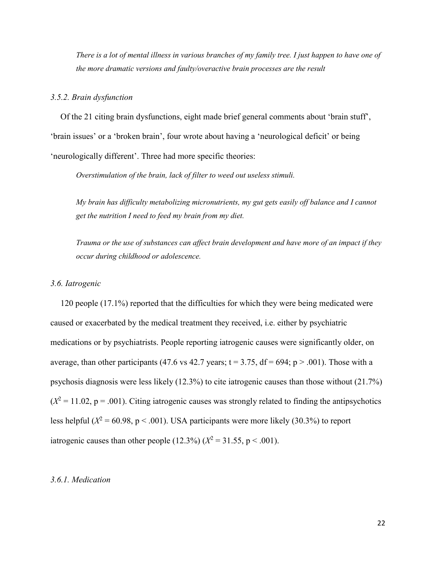*There is a lot of mental illness in various branches of my family tree. I just happen to have one of the more dramatic versions and faulty/overactive brain processes are the result*

#### *3.5.2. Brain dysfunction*

Of the 21 citing brain dysfunctions, eight made brief general comments about 'brain stuff', 'brain issues' or a 'broken brain', four wrote about having a 'neurological deficit' or being 'neurologically different'. Three had more specific theories:

*Overstimulation of the brain, lack of filter to weed out useless stimuli.*

*My brain has difficulty metabolizing micronutrients, my gut gets easily off balance and I cannot get the nutrition I need to feed my brain from my diet.* 

*Trauma or the use of substances can affect brain development and have more of an impact if they occur during childhood or adolescence.*

#### *3.6. Iatrogenic*

120 people (17.1%) reported that the difficulties for which they were being medicated were caused or exacerbated by the medical treatment they received, i.e. either by psychiatric medications or by psychiatrists. People reporting iatrogenic causes were significantly older, on average, than other participants (47.6 vs 42.7 years;  $t = 3.75$ ,  $df = 694$ ;  $p > .001$ ). Those with a psychosis diagnosis were less likely (12.3%) to cite iatrogenic causes than those without (21.7%)  $(X^2 = 11.02, p = .001)$ . Citing iatrogenic causes was strongly related to finding the antipsychotics less helpful  $(X^2 = 60.98, p < .001)$ . USA participants were more likely (30.3%) to report iatrogenic causes than other people  $(12.3\%) (X^2 = 31.55, p < .001)$ .

#### *3.6.1. Medication*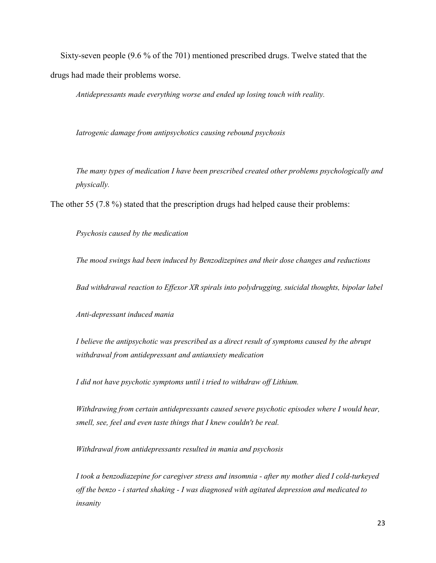Sixty-seven people (9.6 % of the 701) mentioned prescribed drugs. Twelve stated that the drugs had made their problems worse.

*Antidepressants made everything worse and ended up losing touch with reality.*

*Iatrogenic damage from antipsychotics causing rebound psychosis*

*The many types of medication I have been prescribed created other problems psychologically and physically.*

The other 55 (7.8 %) stated that the prescription drugs had helped cause their problems:

*Psychosis caused by the medication*

*The mood swings had been induced by Benzodizepines and their dose changes and reductions*

*Bad withdrawal reaction to Effexor XR spirals into polydrugging, suicidal thoughts, bipolar label* 

*Anti-depressant induced mania*

*I believe the antipsychotic was prescribed as a direct result of symptoms caused by the abrupt withdrawal from antidepressant and antianxiety medication*

*I did not have psychotic symptoms until i tried to withdraw off Lithium.* 

*Withdrawing from certain antidepressants caused severe psychotic episodes where I would hear, smell, see, feel and even taste things that I knew couldn't be real.* 

*Withdrawal from antidepressants resulted in mania and psychosis*

*I took a benzodiazepine for caregiver stress and insomnia - after my mother died I cold-turkeyed off the benzo - i started shaking - I was diagnosed with agitated depression and medicated to insanity*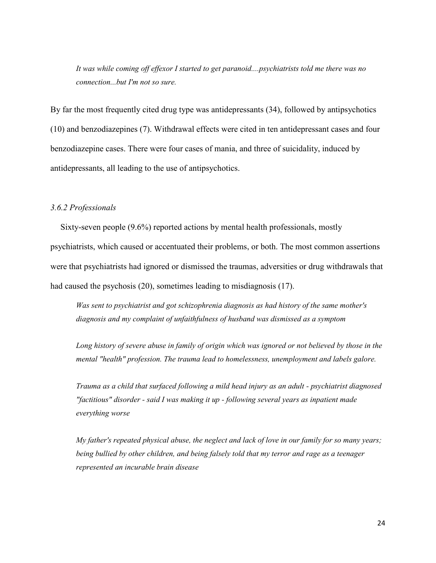*It was while coming off effexor I started to get paranoid....psychiatrists told me there was no connection...but I'm not so sure.* 

By far the most frequently cited drug type was antidepressants (34), followed by antipsychotics (10) and benzodiazepines (7). Withdrawal effects were cited in ten antidepressant cases and four benzodiazepine cases. There were four cases of mania, and three of suicidality, induced by antidepressants, all leading to the use of antipsychotics.

# *3.6.2 Professionals*

Sixty-seven people (9.6%) reported actions by mental health professionals, mostly psychiatrists, which caused or accentuated their problems, or both. The most common assertions were that psychiatrists had ignored or dismissed the traumas, adversities or drug withdrawals that had caused the psychosis (20), sometimes leading to misdiagnosis (17).

*Was sent to psychiatrist and got schizophrenia diagnosis as had history of the same mother's diagnosis and my complaint of unfaithfulness of husband was dismissed as a symptom*

*Long history of severe abuse in family of origin which was ignored or not believed by those in the mental "health" profession. The trauma lead to homelessness, unemployment and labels galore.*

*Trauma as a child that surfaced following a mild head injury as an adult - psychiatrist diagnosed "factitious" disorder - said I was making it up - following several years as inpatient made everything worse*

*My father's repeated physical abuse, the neglect and lack of love in our family for so many years; being bullied by other children, and being falsely told that my terror and rage as a teenager represented an incurable brain disease*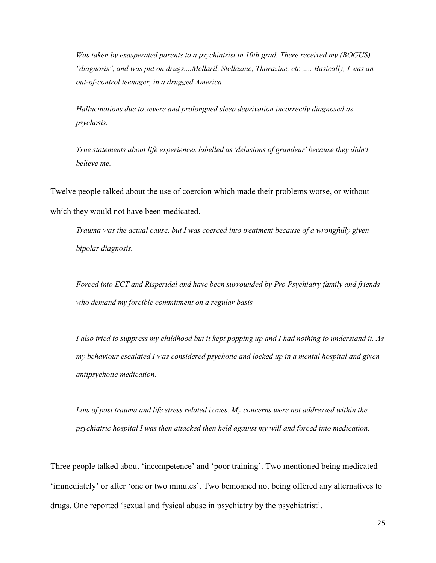*Was taken by exasperated parents to a psychiatrist in 10th grad. There received my (BOGUS) "diagnosis", and was put on drugs....Mellaril, Stellazine, Thorazine, etc.,.... Basically, I was an out-of-control teenager, in a drugged America*

*Hallucinations due to severe and prolongued sleep deprivation incorrectly diagnosed as psychosis.* 

*True statements about life experiences labelled as 'delusions of grandeur' because they didn't believe me.*

Twelve people talked about the use of coercion which made their problems worse, or without which they would not have been medicated.

*Trauma was the actual cause, but I was coerced into treatment because of a wrongfully given bipolar diagnosis.*

*Forced into ECT and Risperidal and have been surrounded by Pro Psychiatry family and friends who demand my forcible commitment on a regular basis*

*I also tried to suppress my childhood but it kept popping up and I had nothing to understand it. As my behaviour escalated I was considered psychotic and locked up in a mental hospital and given antipsychotic medication.* 

*Lots of past trauma and life stress related issues. My concerns were not addressed within the psychiatric hospital I was then attacked then held against my will and forced into medication.*

Three people talked about 'incompetence' and 'poor training'. Two mentioned being medicated 'immediately' or after 'one or two minutes'. Two bemoaned not being offered any alternatives to drugs. One reported 'sexual and fysical abuse in psychiatry by the psychiatrist'.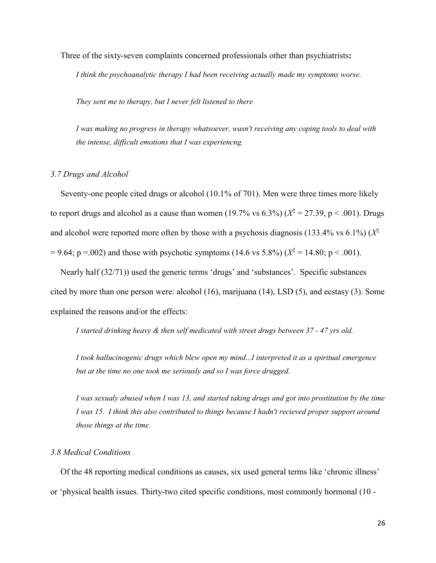Three of the sixty-seven complaints concerned professionals other than psychiatrists**:**

*I think the psychoanalytic therapy I had been receiving actually made my symptoms worse.* 

*They sent me to therapy, but I never felt listened to there*

*I was making no progress in therapy whatsoever, wasn't receiving any coping tools to deal with the intense, difficult emotions that I was experiencng.* 

#### *3.7 Drugs and Alcohol*

Seventy-one people cited drugs or alcohol (10.1% of 701). Men were three times more likely to report drugs and alcohol as a cause than women  $(19.7\% \text{ vs } 6.3\%)$   $(X^2 = 27.39, p < .001)$ . Drugs and alcohol were reported more often by those with a psychosis diagnosis (133.4% vs 6.1%) (*X* 2  $= 9.64$ ; p = .002) and those with psychotic symptoms (14.6 vs 5.8%) ( $X^2 = 14.80$ ; p < .001).

Nearly half (32/71)) used the generic terms 'drugs' and 'substances'. Specific substances cited by more than one person were: alcohol (16), marijuana (14), LSD (5), and ecstasy (3). Some explained the reasons and/or the effects:

*I started drinking heavy & then self medicated with street drugs between 37 - 47 yrs old.* 

*I took hallucinogenic drugs which blew open my mind...I interpreted it as a spiritual emergence but at the time no one took me seriously and so I was force drugged.* 

*I was sexualy abused when I was 13, and started taking drugs and got into prostitution by the time I was 15. I think this also contributed to things because I hadn't recieved proper support around those things at the time.* 

## *3.8 Medical Conditions*

Of the 48 reporting medical conditions as causes, six used general terms like 'chronic illness' or 'physical health issues. Thirty-two cited specific conditions, most commonly hormonal (10 -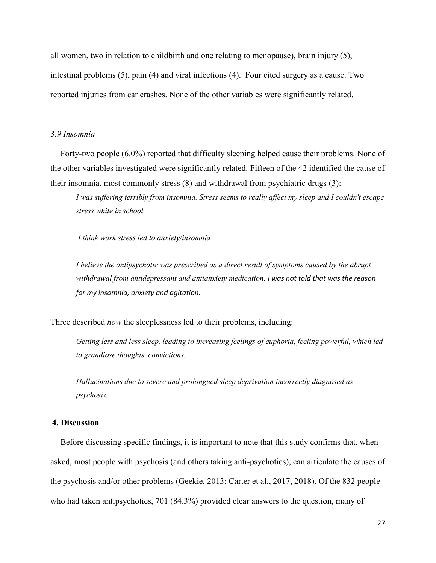all women, two in relation to childbirth and one relating to menopause), brain injury (5), intestinal problems (5), pain (4) and viral infections (4). Four cited surgery as a cause. Two reported injuries from car crashes. None of the other variables were significantly related.

# *3.9 Insomnia*

Forty-two people (6.0%) reported that difficulty sleeping helped cause their problems. None of the other variables investigated were significantly related. Fifteen of the 42 identified the cause of their insomnia, most commonly stress (8) and withdrawal from psychiatric drugs (3):

*I was suffering terribly from insomnia. Stress seems to really affect my sleep and I couldn't escape stress while in school.* 

*I think work stress led to anxiety/insomnia*

*I believe the antipsychotic was prescribed as a direct result of symptoms caused by the abrupt withdrawal from antidepressant and antianxiety medication. I was not told that was the reason for my insomnia, anxiety and agitation.*

Three described *how* the sleeplessness led to their problems, including:

*Getting less and less sleep, leading to increasing feelings of euphoria, feeling powerful, which led to grandiose thoughts, convictions.* 

*Hallucinations due to severe and prolongued sleep deprivation incorrectly diagnosed as psychosis.* 

# **4. Discussion**

Before discussing specific findings, it is important to note that this study confirms that, when asked, most people with psychosis (and others taking anti-psychotics), can articulate the causes of the psychosis and/or other problems (Geekie, 2013; Carter et al., 2017, 2018). Of the 832 people who had taken antipsychotics, 701 (84.3%) provided clear answers to the question, many of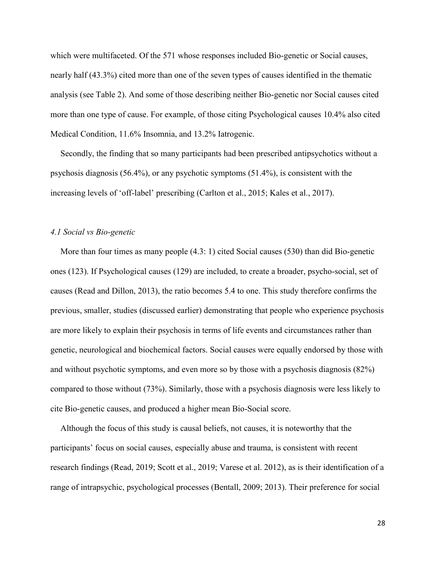which were multifaceted. Of the 571 whose responses included Bio-genetic or Social causes, nearly half (43.3%) cited more than one of the seven types of causes identified in the thematic analysis (see Table 2). And some of those describing neither Bio-genetic nor Social causes cited more than one type of cause. For example, of those citing Psychological causes 10.4% also cited Medical Condition, 11.6% Insomnia, and 13.2% Iatrogenic.

Secondly, the finding that so many participants had been prescribed antipsychotics without a psychosis diagnosis (56.4%), or any psychotic symptoms (51.4%), is consistent with the increasing levels of 'off-label' prescribing (Carlton et al., 2015; Kales et al., 2017).

#### *4.1 Social vs Bio-genetic*

More than four times as many people (4.3: 1) cited Social causes (530) than did Bio-genetic ones (123). If Psychological causes (129) are included, to create a broader, psycho-social, set of causes (Read and Dillon, 2013), the ratio becomes 5.4 to one. This study therefore confirms the previous, smaller, studies (discussed earlier) demonstrating that people who experience psychosis are more likely to explain their psychosis in terms of life events and circumstances rather than genetic, neurological and biochemical factors. Social causes were equally endorsed by those with and without psychotic symptoms, and even more so by those with a psychosis diagnosis (82%) compared to those without (73%). Similarly, those with a psychosis diagnosis were less likely to cite Bio-genetic causes, and produced a higher mean Bio-Social score.

Although the focus of this study is causal beliefs, not causes, it is noteworthy that the participants' focus on social causes, especially abuse and trauma, is consistent with recent research findings (Read, 2019; Scott et al., 2019; Varese et al. 2012), as is their identification of a range of intrapsychic, psychological processes (Bentall, 2009; 2013). Their preference for social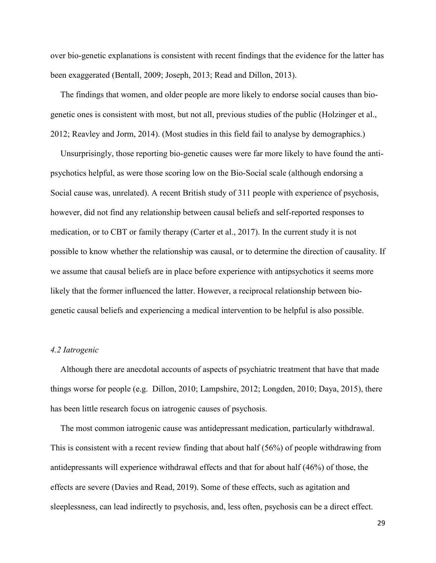over bio-genetic explanations is consistent with recent findings that the evidence for the latter has been exaggerated (Bentall, 2009; Joseph, 2013; Read and Dillon, 2013).

The findings that women, and older people are more likely to endorse social causes than biogenetic ones is consistent with most, but not all, previous studies of the public (Holzinger et al., 2012; Reavley and Jorm, 2014). (Most studies in this field fail to analyse by demographics.)

Unsurprisingly, those reporting bio-genetic causes were far more likely to have found the antipsychotics helpful, as were those scoring low on the Bio-Social scale (although endorsing a Social cause was, unrelated). A recent British study of 311 people with experience of psychosis, however, did not find any relationship between causal beliefs and self-reported responses to medication, or to CBT or family therapy (Carter et al., 2017). In the current study it is not possible to know whether the relationship was causal, or to determine the direction of causality. If we assume that causal beliefs are in place before experience with antipsychotics it seems more likely that the former influenced the latter. However, a reciprocal relationship between biogenetic causal beliefs and experiencing a medical intervention to be helpful is also possible.

# *4.2 Iatrogenic*

Although there are anecdotal accounts of aspects of psychiatric treatment that have that made things worse for people (e.g. Dillon, 2010; Lampshire, 2012; Longden, 2010; Daya, 2015), there has been little research focus on iatrogenic causes of psychosis.

The most common iatrogenic cause was antidepressant medication, particularly withdrawal. This is consistent with a recent review finding that about half (56%) of people withdrawing from antidepressants will experience withdrawal effects and that for about half (46%) of those, the effects are severe (Davies and Read, 2019). Some of these effects, such as agitation and sleeplessness, can lead indirectly to psychosis, and, less often, psychosis can be a direct effect.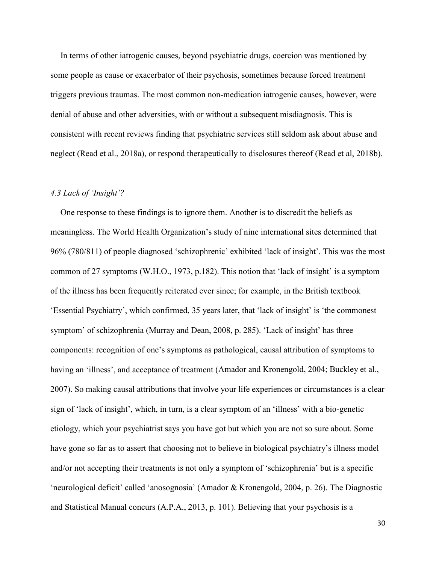In terms of other iatrogenic causes, beyond psychiatric drugs, coercion was mentioned by some people as cause or exacerbator of their psychosis, sometimes because forced treatment triggers previous traumas. The most common non-medication iatrogenic causes, however, were denial of abuse and other adversities, with or without a subsequent misdiagnosis. This is consistent with recent reviews finding that psychiatric services still seldom ask about abuse and neglect (Read et al., 2018a), or respond therapeutically to disclosures thereof (Read et al, 2018b).

# *4.3 Lack of 'Insight'?*

One response to these findings is to ignore them. Another is to discredit the beliefs as meaningless. The World Health Organization's study of nine international sites determined that 96% (780/811) of people diagnosed 'schizophrenic' exhibited 'lack of insight'. This was the most common of 27 symptoms (W.H.O., 1973, p.182). This notion that 'lack of insight' is a symptom of the illness has been frequently reiterated ever since; for example, in the British textbook 'Essential Psychiatry', which confirmed, 35 years later, that 'lack of insight' is 'the commonest symptom' of schizophrenia (Murray and Dean, 2008, p. 285). 'Lack of insight' has three components: recognition of one's symptoms as pathological, causal attribution of symptoms to having an 'illness', and acceptance of treatment (Amador and Kronengold, 2004; Buckley et al., 2007). So making causal attributions that involve your life experiences or circumstances is a clear sign of 'lack of insight', which, in turn, is a clear symptom of an 'illness' with a bio-genetic etiology, which your psychiatrist says you have got but which you are not so sure about. Some have gone so far as to assert that choosing not to believe in biological psychiatry's illness model and/or not accepting their treatments is not only a symptom of 'schizophrenia' but is a specific 'neurological deficit' called 'anosognosia' (Amador & Kronengold, 2004, p. 26). The Diagnostic and Statistical Manual concurs (A.P.A., 2013, p. 101). Believing that your psychosis is a

30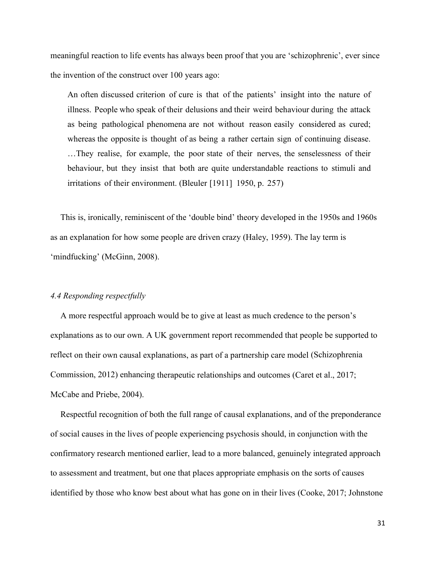meaningful reaction to life events has always been proof that you are 'schizophrenic', ever since the invention of the construct over 100 years ago:

An often discussed criterion of cure is that of the patients' insight into the nature of illness. People who speak of their delusions and their weird behaviour during the attack as being pathological phenomena are not without reason easily considered as cured; whereas the opposite is thought of as being a rather certain sign of continuing disease. …They realise, for example, the poor state of their nerves, the senselessness of their behaviour, but they insist that both are quite understandable reactions to stimuli and irritations of their environment. (Bleuler [1911] 1950, p. 257)

This is, ironically, reminiscent of the 'double bind' theory developed in the 1950s and 1960s as an explanation for how some people are driven crazy (Haley, 1959). The lay term is 'mindfucking' (McGinn, 2008).

## *4.4 Responding respectfully*

A more respectful approach would be to give at least as much credence to the person's explanations as to our own. A UK government report recommended that people be supported to reflect on their own causal explanations, as part of a partnership care model (Schizophrenia Commission, 2012) enhancing therapeutic relationships and outcomes (Caret et al., 2017; McCabe and Priebe, 2004).

Respectful recognition of both the full range of causal explanations, and of the preponderance of social causes in the lives of people experiencing psychosis should, in conjunction with the confirmatory research mentioned earlier, lead to a more balanced, genuinely integrated approach to assessment and treatment, but one that places appropriate emphasis on the sorts of causes identified by those who know best about what has gone on in their lives (Cooke, 2017; Johnstone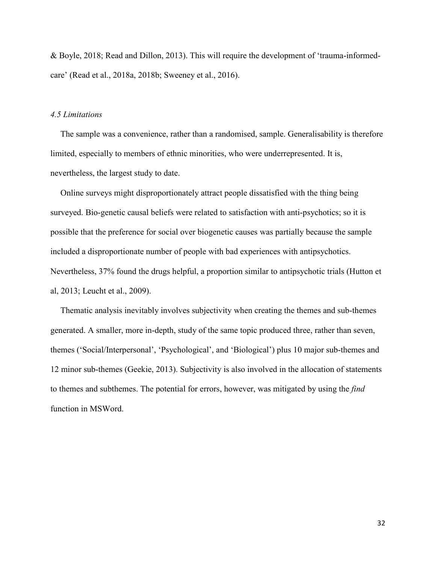& Boyle, 2018; Read and Dillon, 2013). This will require the development of 'trauma-informedcare' (Read et al., 2018a, 2018b; Sweeney et al., 2016).

#### *4.5 Limitations*

The sample was a convenience, rather than a randomised, sample. Generalisability is therefore limited, especially to members of ethnic minorities, who were underrepresented. It is, nevertheless, the largest study to date.

Online surveys might disproportionately attract people dissatisfied with the thing being surveyed. Bio-genetic causal beliefs were related to satisfaction with anti-psychotics; so it is possible that the preference for social over biogenetic causes was partially because the sample included a disproportionate number of people with bad experiences with antipsychotics. Nevertheless, 37% found the drugs helpful, a proportion similar to antipsychotic trials (Hutton et al, 2013; Leucht et al., 2009).

Thematic analysis inevitably involves subjectivity when creating the themes and sub-themes generated. A smaller, more in-depth, study of the same topic produced three, rather than seven, themes ('Social/Interpersonal', 'Psychological', and 'Biological') plus 10 major sub-themes and 12 minor sub-themes (Geekie, 2013). Subjectivity is also involved in the allocation of statements to themes and subthemes. The potential for errors, however, was mitigated by using the *find* function in MSWord.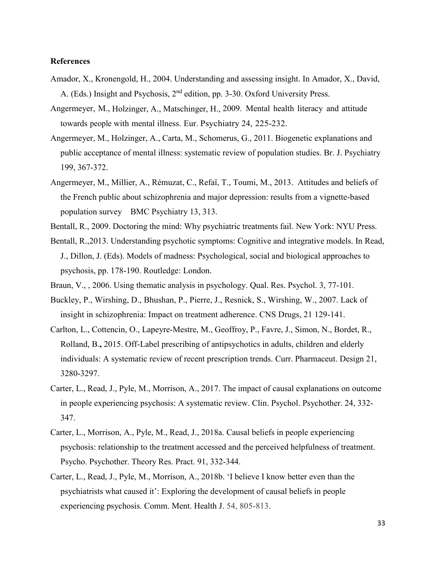## **References**

- Amador, X., Kronengold, H., 2004. Understanding and assessing insight. In Amador, X., David, A. (Eds.) Insight and Psychosis, 2<sup>nd</sup> edition, pp. 3-30. Oxford University Press.
- Angermeyer, M., [Holzinger,](https://www.sciencedirect.com/science/article/pii/S0924933808015770#!) A., [Matschinger,](https://www.sciencedirect.com/science/article/pii/S0924933808015770#!) H., 2009. Mental health literacy and attitude towards people with mental illness. Eur. Psychiatry 24, 225-232.
- Angermeyer, M., Holzinger, A., Carta, M., Schomerus, G., 2011. Biogenetic explanations and public acceptance of mental illness: systematic review of population studies. Br. J. Psychiatry 199, 367-372.
- [Angermeyer,](https://bmcpsychiatry.biomedcentral.com/articles/10.1186/1471-244X-13-313#auth-1) M., [Millier,](https://bmcpsychiatry.biomedcentral.com/articles/10.1186/1471-244X-13-313#auth-2) A., [Rémuzat,](https://bmcpsychiatry.biomedcentral.com/articles/10.1186/1471-244X-13-313#auth-3) C., [Refaï,](https://bmcpsychiatry.biomedcentral.com/articles/10.1186/1471-244X-13-313#auth-4) T., [Toumi,](https://bmcpsychiatry.biomedcentral.com/articles/10.1186/1471-244X-13-313#auth-5) M., 2013. Attitudes and beliefs of the French public about schizophrenia and major depression: results from a vignette-based population survey [BMC Psychiatry](https://bmcpsychiatry.biomedcentral.com/) 13, 313.
- Bentall, R., 2009. Doctoring the mind: Why psychiatric treatments fail. New York: NYU Press.
- Bentall, R.,2013. Understanding psychotic symptoms: Cognitive and integrative models. In Read, J., Dillon, J. (Eds). Models of madness: Psychological, social and biological approaches to psychosis, pp. 178-190. Routledge: London.
- [Braun, V., ,](https://www.tandfonline.com/author/Braun%2C+Virginia) 2006. Using thematic analysis in psychology. Qual. Res. [Psychol.](https://www.tandfonline.com/toc/uqrp20/current) 3, 77-101.
- Buckley, P., Wirshing, D., Bhushan, P., Pierre, J., Resnick, S., Wirshing, W., 2007. Lack of insight in schizophrenia: Impact on treatment adherence. CNS [Drugs,](https://link.springer.com/journal/40263) 21 129-141.
- [Carlton,](https://www.ncbi.nlm.nih.gov/pubmed/?term=Carton%20L%5BAuthor%5D&cauthor=true&cauthor_uid=26088115) L., [Cottencin,](https://www.ncbi.nlm.nih.gov/pubmed/?term=Cottencin%20O%5BAuthor%5D&cauthor=true&cauthor_uid=26088115) O., [Lapeyre-Mestre,](https://www.ncbi.nlm.nih.gov/pubmed/?term=Lapeyre-Mestre%20M%5BAuthor%5D&cauthor=true&cauthor_uid=26088115) M., [Geoffroy,](https://www.ncbi.nlm.nih.gov/pubmed/?term=Geoffroy%20PA%5BAuthor%5D&cauthor=true&cauthor_uid=26088115) P., [Favre,](https://www.ncbi.nlm.nih.gov/pubmed/?term=Favre%20J%5BAuthor%5D&cauthor=true&cauthor_uid=26088115) J., [Simon,](https://www.ncbi.nlm.nih.gov/pubmed/?term=Simon%20N%5BAuthor%5D&cauthor=true&cauthor_uid=26088115) N., [Bordet,](https://www.ncbi.nlm.nih.gov/pubmed/?term=Bordet%20R%5BAuthor%5D&cauthor=true&cauthor_uid=26088115) R., [Rolland,](https://www.ncbi.nlm.nih.gov/pubmed/?term=Rolland%20B%5BAuthor%5D&cauthor=true&cauthor_uid=26088115) B.**,** 2015. Off-Label prescribing of antipsychotics in adults, children and elderly individuals: A systematic review of recent prescription trends. Curr. [Pharmaceut.](https://www.ncbi.nlm.nih.gov/pubmed/26088115) Design 21, 3280-3297.
- Carter, L., Read, J., Pyle, M., Morrison, A., 2017. The impact of causal explanations on outcome in people experiencing psychosis: A systematic review. Clin. Psychol. Psychother. 24, 332- 347.
- Carter, L., Morrison, A., Pyle, M., Read, J., 2018a. Causal beliefs in people experiencing psychosis: relationship to the treatment accessed and the perceived helpfulness of treatment. Psycho. Psychother. Theory Res. Pract. 91, 332-344.
- Carter, L., Read, J., Pyle, M., Morrison, A., 2018b. 'I believe I know better even than the psychiatrists what caused it': Exploring the development of causal beliefs in people experiencing psychosis. Comm. Ment. Health J. 54, 805-813.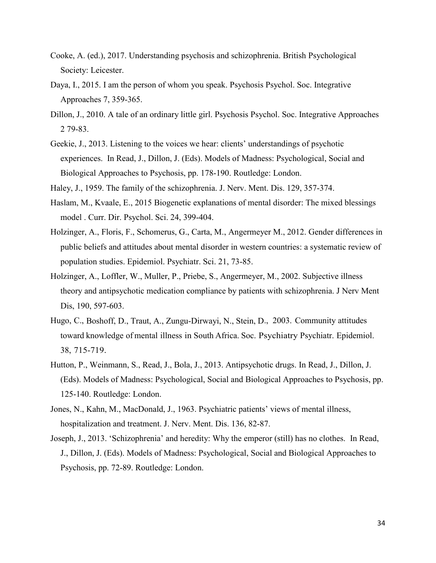- Cooke, A. (ed.), 2017. Understanding psychosis and schizophrenia. British Psychological Society: Leicester.
- Daya, I., 2015. I am the person of whom you speak. [Psychosis](https://www.tandfonline.com/toc/rpsy20/current) Psychol. Soc. Integrative Approaches 7, 359-365.
- Dillon, J., 2010. A tale of an ordinary little girl. [Psychosis](https://www.tandfonline.com/toc/rpsy20/current) Psychol. Soc. Integrative Approaches 2 79-83.
- Geekie, J., 2013. Listening to the voices we hear: clients' understandings of psychotic experiences. In Read, J., Dillon, J. (Eds). Models of Madness: Psychological, Social and Biological Approaches to Psychosis, pp. 178-190. Routledge: London.
- Haley, J., 1959. The family of the schizophrenia. J. Nerv. Ment. Dis. 129, 357-374.
- Haslam, M., Kvaale, E., 2015 Biogenetic explanations of mental disorder: The mixed blessings model . Curr. Dir. Psychol. Sci. 24, 399-404.
- [Holzinger,](https://www.ncbi.nlm.nih.gov/pubmed/?term=Holzinger%20A%5BAuthor%5D&cauthor=true&cauthor_uid=22670415) A., [Floris, F.](https://www.ncbi.nlm.nih.gov/pubmed/?term=Floris%20F%5BAuthor%5D&cauthor=true&cauthor_uid=22670415), [Schomerus, G.](https://www.ncbi.nlm.nih.gov/pubmed/?term=Schomerus%20G%5BAuthor%5D&cauthor=true&cauthor_uid=22670415), [Carta, M.,](https://www.ncbi.nlm.nih.gov/pubmed/?term=Carta%20MG%5BAuthor%5D&cauthor=true&cauthor_uid=22670415) [Angermeyer M.](https://www.ncbi.nlm.nih.gov/pubmed/?term=Angermeyer%20MC%5BAuthor%5D&cauthor=true&cauthor_uid=22670415), 2012. Gender differences in public beliefs and attitudes about mental disorder in western countries: a systematic review of population studies. [Epidemiol.](https://www.ncbi.nlm.nih.gov/pubmed/22670415) Psychiatr. Sci. 21, 73-85.
- Holzinger, A., Loffler, W., Muller, P., Priebe, S., Angermeyer, M., 2002. Subjective illness theory and antipsychotic medication compliance by patients with schizophrenia. J Nerv Ment Dis, 190, 597-603.
- Hugo, C., Boshoff, D., Traut, A., Zungu-Dirwayi, N., Stein, D., 2003. Community attitudes toward knowledge of mental illness in South Africa. Soc. Psychiatry Psychiatr. Epidemiol. 38, 715-719.
- Hutton, P., Weinmann, S., Read, J., Bola, J., 2013. Antipsychotic drugs. In Read, J., Dillon, J. (Eds). Models of Madness: Psychological, Social and Biological Approaches to Psychosis, pp. 125-140. Routledge: London.
- Jones, N., Kahn, M., MacDonald, J., 1963. Psychiatric patients' views of mental illness, hospitalization and treatment. J. Nerv. Ment. Dis. 136, 82-87.
- Joseph, J., 2013. 'Schizophrenia' and heredity: Why the emperor (still) has no clothes. In Read, J., Dillon, J. (Eds). Models of Madness: Psychological, Social and Biological Approaches to Psychosis, pp. 72-89. Routledge: London.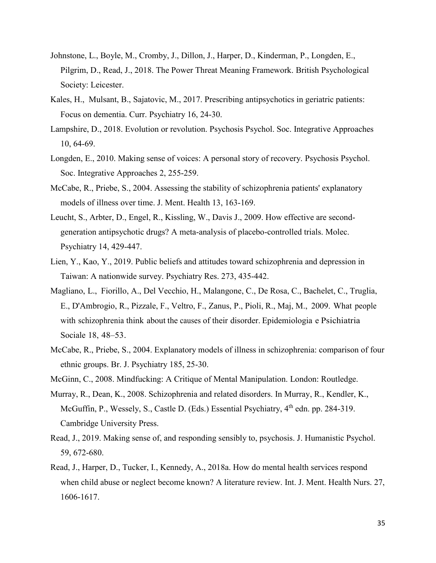- Johnstone, L., Boyle, M., Cromby, J., Dillon, J., Harper, D., Kinderman, P., Longden, E., Pilgrim, D., Read, J., 2018. The Power Threat Meaning Framework. British Psychological Society: Leicester.
- [Kales,](https://www.mdedge.com/authors/helen-c-kales-md) H., [Mulsant, B.,](https://www.mdedge.com/authors/benoit-h-mulsant-md-ms) [Sajatovic, M.,](https://www.mdedge.com/authors/martha-sajatovic-md) 2017. Prescribing antipsychotics in geriatric patients: Focus on dementia. Curr. Psychiatry 16, 24-30.
- Lampshire, D., 2018. Evolution or revolution. [Psychosis](https://www.tandfonline.com/toc/rpsy20/current) Psychol. Soc. Integrative Approaches 10, 64-69.
- Longden, E., 2010. Making sense of voices: A personal story of recovery. [Psychosis](https://www.tandfonline.com/toc/rpsy20/current) Psychol. Soc. Integrative Approaches 2, 255-259.
- McCabe, R., Priebe, S., 2004. Assessing the stability of schizophrenia patients' explanatory models of illness over time. J. Ment. Health 13, 163-169.
- Leucht, S., [Arbter,](https://www.ncbi.nlm.nih.gov/pubmed/?term=Arbter%20D%5BAuthor%5D&cauthor=true&cauthor_uid=18180760) D., [Engel,](https://www.ncbi.nlm.nih.gov/pubmed/?term=Engel%20RR%5BAuthor%5D&cauthor=true&cauthor_uid=18180760) R., [Kissling,](https://www.ncbi.nlm.nih.gov/pubmed/?term=Kissling%20W%5BAuthor%5D&cauthor=true&cauthor_uid=18180760) W., [Davis J.](https://www.ncbi.nlm.nih.gov/pubmed/?term=Davis%20JM%5BAuthor%5D&cauthor=true&cauthor_uid=18180760), 2009. How effective are secondgeneration antipsychotic drugs? A meta-analysis of placebo-controlled trials. Molec. Psychiatry 14, 429-447.
- [Lien, Y.,](https://www.sciencedirect.com/science/article/abs/pii/S0165178118318808?via%3Dihub#!) [Kao, Y.](https://www.ncbi.nlm.nih.gov/pubmed/?term=Kao%20YC%5BAuthor%5D&cauthor=true&cauthor_uid=30684789), 2019. Public beliefs and attitudes toward schizophrenia and depression in Taiwan: A nationwide survey. [Psychiatry Res.](https://www.sciencedirect.com/science/journal/01651781) [273,](https://www.sciencedirect.com/science/journal/01651781/273/supp/C) 435-442.
- Magliano, L., [Fiorillo,](https://www.ncbi.nlm.nih.gov/pubmed/?term=Fiorillo%20A%5BAuthor%5D&cauthor=true&cauthor_uid=19378699) A., [Del Vecchio,](https://www.ncbi.nlm.nih.gov/pubmed/?term=Del%20Vecchio%20H%5BAuthor%5D&cauthor=true&cauthor_uid=19378699) H., [Malangone,](https://www.ncbi.nlm.nih.gov/pubmed/?term=Malangone%20C%5BAuthor%5D&cauthor=true&cauthor_uid=19378699) C., [De Rosa,](https://www.ncbi.nlm.nih.gov/pubmed/?term=De%20Rosa%20C%5BAuthor%5D&cauthor=true&cauthor_uid=19378699) C., [Bachelet,](https://www.ncbi.nlm.nih.gov/pubmed/?term=Bachelet%20C%5BAuthor%5D&cauthor=true&cauthor_uid=19378699) C., [Truglia,](https://www.ncbi.nlm.nih.gov/pubmed/?term=Truglia%20E%5BAuthor%5D&cauthor=true&cauthor_uid=19378699) [E.](https://www.ncbi.nlm.nih.gov/pubmed/?term=Truglia%20E%5BAuthor%5D&cauthor=true&cauthor_uid=19378699), [D'Ambrogio,](https://www.ncbi.nlm.nih.gov/pubmed/?term=D) R., [Pizzale,](https://www.ncbi.nlm.nih.gov/pubmed/?term=Pizzale%20F%5BAuthor%5D&cauthor=true&cauthor_uid=19378699) F., [Veltro,](https://www.ncbi.nlm.nih.gov/pubmed/?term=Veltro%20F%5BAuthor%5D&cauthor=true&cauthor_uid=19378699) F., [Zanus,](https://www.ncbi.nlm.nih.gov/pubmed/?term=Zanus%20P%5BAuthor%5D&cauthor=true&cauthor_uid=19378699) P., [Pioli,](https://www.ncbi.nlm.nih.gov/pubmed/?term=Pioli%20R%5BAuthor%5D&cauthor=true&cauthor_uid=19378699) R., [Maj,](https://www.ncbi.nlm.nih.gov/pubmed/?term=Maj%20M%5BAuthor%5D&cauthor=true&cauthor_uid=19378699) M., 2009. What people with schizophrenia think about the causes of their disorder. Epidemiologia e Psichiatria Sociale 18, 48–53.
- McCabe, R., Priebe, S., 2004. Explanatory models of illness in schizophrenia: comparison of four ethnic groups. Br. J. Psychiatry 185, 25-30.
- McGinn, C., 2008. Mindfucking: A Critique of Mental Manipulation. London: Routledge.
- Murray, R., Dean, K., 2008. Schizophrenia and related disorders. In Murray, R., Kendler, K., McGuffin, P., Wessely, S., Castle D. (Eds.) Essential Psychiatry, 4<sup>th</sup> edn. pp. 284-319. Cambridge University Press.
- Read, J., 2019. Making sense of, and responding sensibly to, psychosis. J. Humanistic Psychol. 59, 672-680.
- Read, J., Harper, D., Tucker, I., Kennedy, A., 2018a. How do mental health services respond when child abuse or neglect become known? A literature review. Int. J. Ment. Health Nurs. 27, 1606-1617.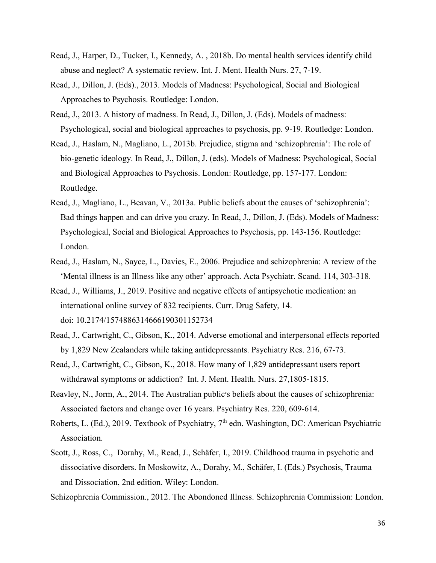- Read, J., Harper, D., Tucker, I., Kennedy, A. , 2018b. Do mental health services identify child abuse and neglect? A systematic review. Int. J. Ment. Health Nurs. 27, 7-19.
- Read, J., Dillon, J. (Eds)., 2013. Models of Madness: Psychological, Social and Biological Approaches to Psychosis. Routledge: London.
- Read, J., 2013. A history of madness. In Read, J., Dillon, J. (Eds). Models of madness: Psychological, social and biological approaches to psychosis, pp. 9-19. Routledge: London.
- Read, J., Haslam, N., Magliano, L., 2013b. Prejudice, stigma and 'schizophrenia': The role of bio-genetic ideology. In Read, J., Dillon, J. (eds). Models of Madness: Psychological, Social and Biological Approaches to Psychosis. London: Routledge, pp. 157-177. London: Routledge.
- Read, J., Magliano, L., Beavan, V., 2013a. Public beliefs about the causes of 'schizophrenia': Bad things happen and can drive you crazy. In Read, J., Dillon, J. (Eds). Models of Madness: Psychological, Social and Biological Approaches to Psychosis, pp. 143-156. Routledge: London.
- Read, J., Haslam, N., Sayce, L., Davies, E., 2006. Prejudice and schizophrenia: A review of the 'Mental illness is an Illness like any other' approach. Acta Psychiatr. Scand. 114, 303-318.
- Read, J., Williams, J., 2019. Positive and negative effects of antipsychotic medication: an international online survey of 832 recipients. Curr. Drug Safety, 14. doi: 10.2174/1574886314666190301152734
- Read, J., Cartwright, C., Gibson, K., 2014. Adverse emotional and interpersonal effects reported by 1,829 New Zealanders while taking antidepressants. Psychiatry Res. 216, 67-73.
- Read, J., Cartwright, C., Gibson, K., 2018. How many of 1,829 antidepressant users report withdrawal symptoms or addiction? Int. J. Ment. Health. Nurs. 27,1805-1815.
- [Reavley,](https://www.sciencedirect.com/science/article/pii/S0165178114005952#!) N., Jorm, A., 2014. The Australian public׳s beliefs about the causes of schizophrenia: Associated factors and change over 16 years. [Psychiatry Res.](https://www.sciencedirect.com/science/journal/01651781) [220, 6](https://www.sciencedirect.com/science/journal/01651781/220/1)09-614.
- Roberts, L. (Ed.), 2019. Textbook of Psychiatry, 7<sup>th</sup> edn. Washington, DC: American Psychiatric Association.
- [Scott,](https://scholar.google.com/citations?user=ptlpdRgAAAAJ&hl=en&oi=sra) J., Ross, C., Dorahy, M., [Read,](https://scholar.google.com/citations?user=jol6FaUAAAAJ&hl=en&oi=sra) J., [Schäfer,](https://onlinelibrary.wiley.com/action/doSearch?ContribAuthorStored=Sch%C3%A4fer%2C+Ingo) I., 2019. Childhood trauma in psychotic and dissociative disorders. In [Moskowitz,](https://onlinelibrary.wiley.com/action/doSearch?ContribAuthorStored=Moskowitz%2C+Andrew) A., [Dorahy,](https://onlinelibrary.wiley.com/action/doSearch?ContribAuthorStored=Dorahy%2C+Martin+J) M., [Schäfer, I.](https://onlinelibrary.wiley.com/action/doSearch?ContribAuthorStored=Sch%C3%A4fer%2C+Ingo) (Eds.) Psychosis, Trauma and Dissociation, 2nd edition. Wiley: London.
- Schizophrenia Commission., 2012. The Abondoned Illness. Schizophrenia Commission: London.